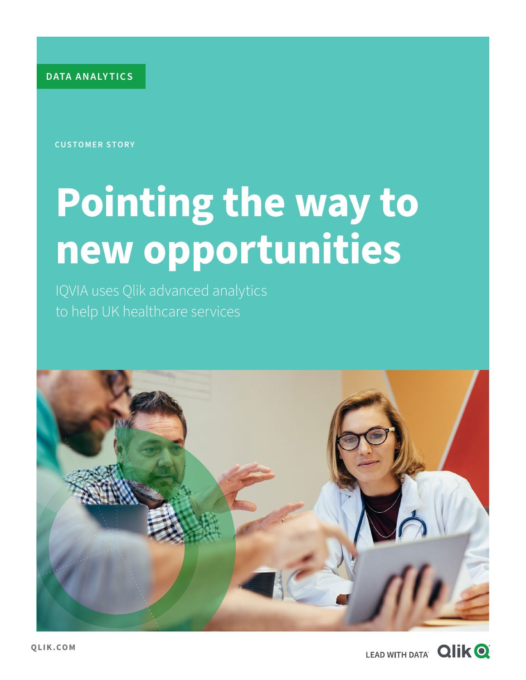**DATA ANALY TICS**

**CUSTOMER STORY**

# **Pointing the way to new opportunities**

IQVIA uses Qlik advanced analytics to help UK healthcare services



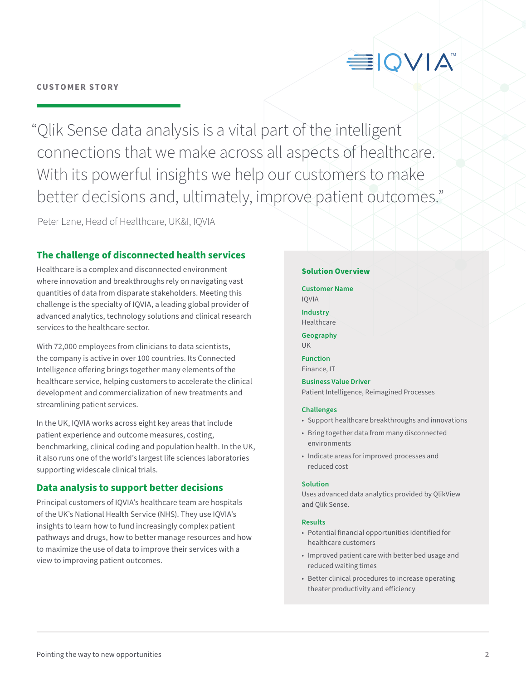#### **CUSTOMER STORY**

## **EIQVIA**

"Qlik Sense data analysis is a vital part of the intelligent connections that we make across all aspects of healthcare. With its powerful insights we help our customers to make better decisions and, ultimately, improve patient outcomes."

Peter Lane, Head of Healthcare, UK&I, IQVIA

#### **The challenge of disconnected health services**

Healthcare is a complex and disconnected environment where innovation and breakthroughs rely on navigating vast quantities of data from disparate stakeholders. Meeting this challenge is the specialty of IQVIA, a leading global provider of advanced analytics, technology solutions and clinical research services to the healthcare sector.

With 72,000 employees from clinicians to data scientists, the company is active in over 100 countries. Its Connected Intelligence offering brings together many elements of the healthcare service, helping customers to accelerate the clinical development and commercialization of new treatments and streamlining patient services.

In the UK, IQVIA works across eight key areas that include patient experience and outcome measures, costing, benchmarking, clinical coding and population health. In the UK, it also runs one of the world's largest life sciences laboratories supporting widescale clinical trials.

#### **Data analysis to support better decisions**

Principal customers of IQVIA's healthcare team are hospitals of the UK's National Health Service (NHS). They use IQVIA's insights to learn how to fund increasingly complex patient pathways and drugs, how to better manage resources and how to maximize the use of data to improve their services with a view to improving patient outcomes.

#### **Solution Overview**

**Customer Name**  IQVIA

**Industry**  Healthcare

**Geography**  UK

**Function**  Finance, IT

**Business Value Driver**  Patient Intelligence, Reimagined Processes

#### **Challenges**

- Support healthcare breakthroughs and innovations
- Bring together data from many disconnected environments
- Indicate areas for improved processes and reduced cost

#### **Solution**

Uses advanced data analytics provided by QlikView and Qlik Sense.

#### **Results**

- Potential financial opportunities identified for healthcare customers
- Improved patient care with better bed usage and reduced waiting times
- Better clinical procedures to increase operating theater productivity and efficiency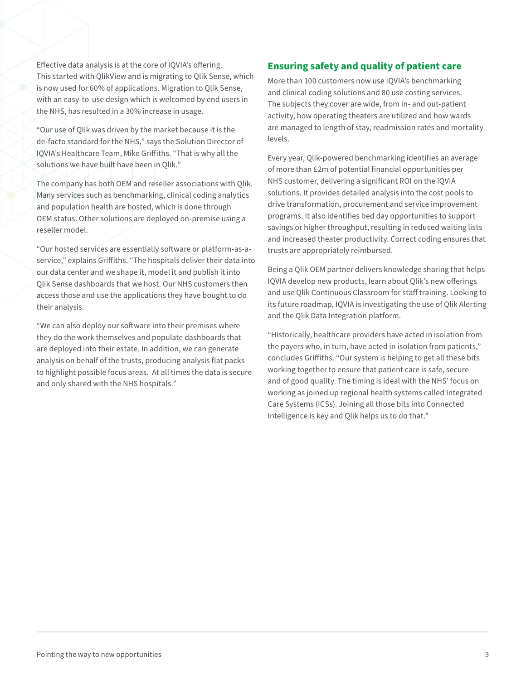Effective data analysis is at the core of IQVIA's offering. This started with QlikView and is migrating to Qlik Sense, which is now used for 60% of applications. Migration to Qlik Sense, with an easy-to-use design which is welcomed by end users in the NHS, has resulted in a 30% increase in usage.

"Our use of Qlik was driven by the market because it is the de-facto standard for the NHS," says the Solution Director of IQVIA's Healthcare Team, Mike Griffiths. "That is why all the solutions we have built have been in Qlik."

The company has both OEM and reseller associations with Qlik. Many services such as benchmarking, clinical coding analytics and population health are hosted, which is done through OEM status. Other solutions are deployed on-premise using a reseller model.

"Our hosted services are essentially software or platform-as-aservice," explains Griffiths. "The hospitals deliver their data into our data center and we shape it, model it and publish it into Qlik Sense dashboards that we host. Our NHS customers then access those and use the applications they have bought to do their analysis.

"We can also deploy our software into their premises where they do the work themselves and populate dashboards that are deployed into their estate. In addition, we can generate analysis on behalf of the trusts, producing analysis flat packs to highlight possible focus areas. At all times the data is secure and only shared with the NHS hospitals."

#### **Ensuring safety and quality of patient care**

More than 100 customers now use IQVIA's benchmarking and clinical coding solutions and 80 use costing services. The subjects they cover are wide, from in- and out-patient activity, how operating theaters are utilized and how wards are managed to length of stay, readmission rates and mortality levels.

Every year, Qlik-powered benchmarking identifies an average of more than £2m of potential financial opportunities per NHS customer, delivering a significant ROI on the IQVIA solutions. It provides detailed analysis into the cost pools to drive transformation, procurement and service improvement programs. It also identifies bed day opportunities to support savings or higher throughput, resulting in reduced waiting lists and increased theater productivity. Correct coding ensures that trusts are appropriately reimbursed.

Being a Qlik OEM partner delivers knowledge sharing that helps IQVIA develop new products, learn about Qlik's new offerings and use Qlik Continuous Classroom for staff training. Looking to its future roadmap, IQVIA is investigating the use of Qlik Alerting and the Qlik Data Integration platform.

"Historically, healthcare providers have acted in isolation from the payers who, in turn, have acted in isolation from patients," concludes Griffiths. "Our system is helping to get all these bits working together to ensure that patient care is safe, secure and of good quality. The timing is ideal with the NHS' focus on working as joined up regional health systems called Integrated Care Systems (ICSs). Joining all those bits into Connected Intelligence is key and Qlik helps us to do that."